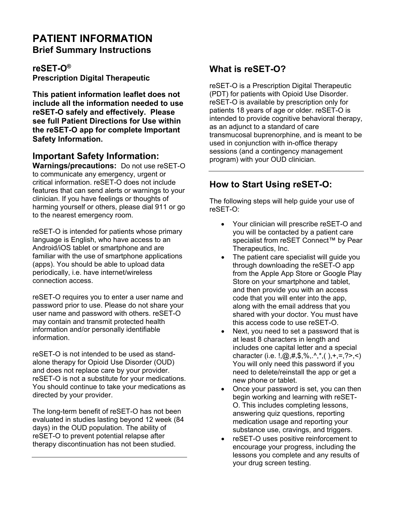# **PATIENT INFORMATION Brief Summary Instructions**

**reSET-O® Prescription Digital Therapeutic**

**This patient information leaflet does not include all the information needed to use reSET-O safely and effectively. Please see full Patient Directions for Use within the reSET-O app for complete Important Safety Information.** 

## **Important Safety Information:**

**Warnings/precautions:** Do not use reSET-O to communicate any emergency, urgent or critical information. reSET-O does not include features that can send alerts or warnings to your clinician. If you have feelings or thoughts of harming yourself or others, please dial 911 or go to the nearest emergency room.

reSET-O is intended for patients whose primary language is English, who have access to an Android/iOS tablet or smartphone and are familiar with the use of smartphone applications (apps). You should be able to upload data periodically, i.e. have internet/wireless connection access.

reSET-O requires you to enter a user name and password prior to use. Please do not share your user name and password with others. reSET-O may contain and transmit protected health information and/or personally identifiable information.

reSET-O is not intended to be used as standalone therapy for Opioid Use Disorder (OUD) and does not replace care by your provider. reSET-O is not a substitute for your medications. You should continue to take your medications as directed by your provider.

The long-term benefit of reSET-O has not been evaluated in studies lasting beyond 12 week (84 days) in the OUD population. The ability of reSET-O to prevent potential relapse after therapy discontinuation has not been studied.

# **What is reSET-O?**

reSET-O is a Prescription Digital Therapeutic (PDT) for patients with Opioid Use Disorder. reSET-O is available by prescription only for patients 18 years of age or older. reSET-O is intended to provide cognitive behavioral therapy, as an adjunct to a standard of care transmucosal buprenorphine, and is meant to be used in conjunction with in-office therapy sessions (and a contingency management program) with your OUD clinician.

# **How to Start Using reSET-O:**

The following steps will help guide your use of reSET-O:

- Your clinician will prescribe reSET-O and you will be contacted by a patient care specialist from reSET Connect™ by Pear Therapeutics, Inc.
- The patient care specialist will quide you through downloading the reSET-O app from the Apple App Store or Google Play Store on your smartphone and tablet, and then provide you with an access code that you will enter into the app, along with the email address that you shared with your doctor. You must have this access code to use reSET-O.
- Next, you need to set a password that is at least 8 characters in length and includes one capital letter and a special character (i.e.  $!,\omega,#,*,\%$ , ^,\*,( ), +,=,?>,<) You will only need this password if you need to delete/reinstall the app or get a new phone or tablet.
- Once your password is set, you can then begin working and learning with reSET-O. This includes completing lessons, answering quiz questions, reporting medication usage and reporting your substance use, cravings, and triggers.
- reSET-O uses positive reinforcement to encourage your progress, including the lessons you complete and any results of your drug screen testing.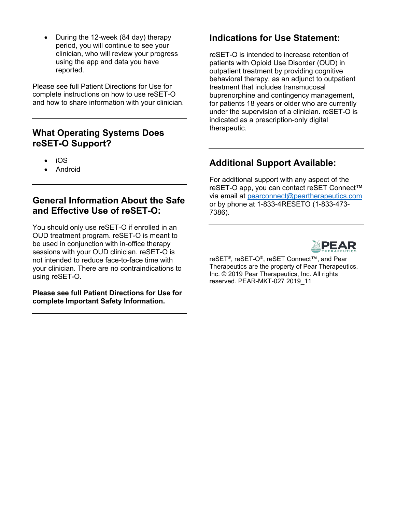• During the 12-week (84 day) therapy period, you will continue to see your clinician, who will review your progress using the app and data you have reported.

Please see full Patient Directions for Use for complete instructions on how to use reSET-O and how to share information with your clinician.

#### **What Operating Systems Does reSET-O Support?**

- iOS
- Android

### **General Information About the Safe and Effective Use of reSET-O:**

You should only use reSET-O if enrolled in an OUD treatment program. reSET-O is meant to be used in conjunction with in-office therapy sessions with your OUD clinician. reSET-O is not intended to reduce face-to-face time with your clinician. There are no contraindications to using reSET-O.

#### **Please see full Patient Directions for Use for complete Important Safety Information.**

## **Indications for Use Statement:**

reSET-O is intended to increase retention of patients with Opioid Use Disorder (OUD) in outpatient treatment by providing cognitive behavioral therapy, as an adjunct to outpatient treatment that includes transmucosal buprenorphine and contingency management, for patients 18 years or older who are currently under the supervision of a clinician. reSET-O is indicated as a prescription-only digital therapeutic.

# **Additional Support Available:**

For additional support with any aspect of the reSET-O app, you can contact reSET Connect™ via email at [pearconnect@peartherapeutics.com](mailto:pearconnect@peartherapeutics.com)  or by phone at 1-833-4RESETO (1-833-473- 7386).



reSET®, reSET-O®, reSET Connect™, and Pear Therapeutics are the property of Pear Therapeutics, Inc. © 2019 Pear Therapeutics, Inc. All rights reserved. PEAR-MKT-027 2019\_11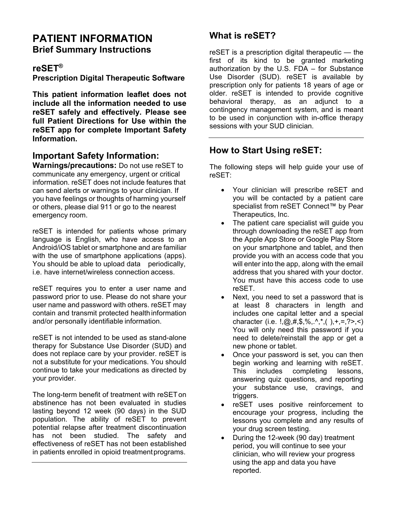# **PATIENT INFORMATION Brief Summary Instructions**

#### **reSET®**

**Prescription Digital Therapeutic Software**

**This patient information leaflet does not include all the information needed to use reSET safely and effectively. Please see full Patient Directions for Use within the reSET app for complete Important Safety Information.**

### **Important Safety Information:**

**Warnings/precautions:** Do not use reSET to communicate any emergency, urgent or critical information. reSET does not include features that can send alerts or warnings to your clinician. If you have feelings or thoughts of harming yourself or others, please dial 911 or go to the nearest emergency room.

reSET is intended for patients whose primary language is English, who have access to an Android/iOS tablet or smartphone and are familiar with the use of smartphone applications (apps). You should be able to upload data periodically, i.e. have internet/wireless connection access.

reSET requires you to enter a user name and password prior to use. Please do not share your user name and password with others. reSET may contain and transmit protected health information and/or personally identifiable information.

reSET is not intended to be used as stand-alone therapy for Substance Use Disorder (SUD) and does not replace care by your provider. reSET is not a substitute for your medications. You should continue to take your medications as directed by your provider.

The long-term benefit of treatment with reSETon abstinence has not been evaluated in studies lasting beyond 12 week (90 days) in the SUD population. The ability of reSET to prevent potential relapse after treatment discontinuation has not been studied. The safety and effectiveness of reSET has not been established in patients enrolled in opioid treatment programs.

# **What is reSET?**

reSET is a prescription digital therapeutic — the first of its kind to be granted marketing authorization by the U.S. FDA – for Substance Use Disorder (SUD). reSET is available by prescription only for patients 18 years of age or older. reSET is intended to provide cognitive behavioral therapy, as an adjunct to a contingency management system, and is meant to be used in conjunction with in-office therapy sessions with your SUD clinician.

# **How to Start Using reSET:**

The following steps will help guide your use of reSET:

- Your clinician will prescribe reSET and you will be contacted by a patient care specialist from reSET Connect™ by Pear Therapeutics, Inc.
- The patient care specialist will guide you through downloading the reSET app from the Apple App Store or Google Play Store on your smartphone and tablet, and then provide you with an access code that you will enter into the app, along with the email address that you shared with your doctor. You must have this access code to use reSET.
- Next, you need to set a password that is at least 8 characters in length and includes one capital letter and a special character (i.e.  $!,\omega,#,*,\%$ , ^,\*,( ),+,=,?>,<) You will only need this password if you need to delete/reinstall the app or get a new phone or tablet.
- Once your password is set, you can then begin working and learning with reSET. This includes completing lessons, answering quiz questions, and reporting your substance use, cravings, and triggers.
- reSET uses positive reinforcement to encourage your progress, including the lessons you complete and any results of your drug screen testing.
- During the 12-week (90 day) treatment period, you will continue to see your clinician, who will review your progress using the app and data you have reported.